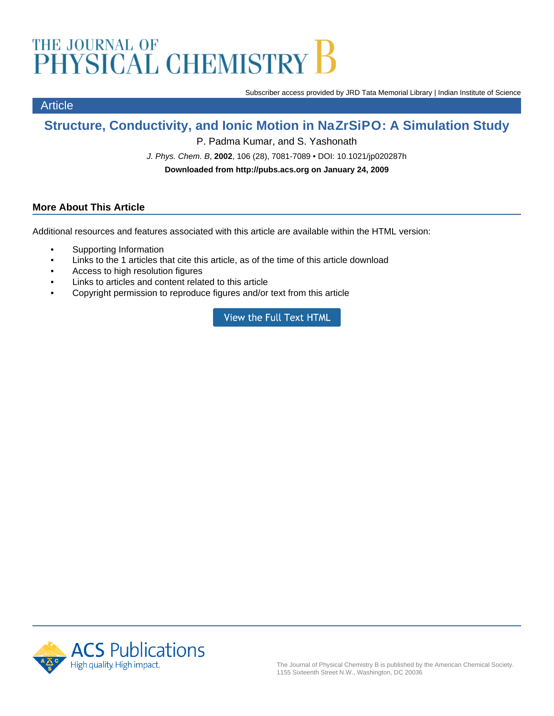# THE JOURNAL OF<br>PHYSICAL CHEMISTRY

Subscriber access provided by JRD Tata Memorial Library | Indian Institute of Science

# **Structure, Conductivity, and Ionic Motion in NaZrSiPO: A Simulation Study**

P. Padma Kumar, and S. Yashonath

J. Phys. Chem. B, **2002**, 106 (28), 7081-7089 • DOI: 10.1021/jp020287h

**Downloaded from http://pubs.acs.org on January 24, 2009**

## **More About This Article**

Article

Additional resources and features associated with this article are available within the HTML version:

- Supporting Information
- Links to the 1 articles that cite this article, as of the time of this article download
- Access to high resolution figures
- Links to articles and content related to this article
- Copyright permission to reproduce figures and/or text from this article

**View the Full Text HTML** 

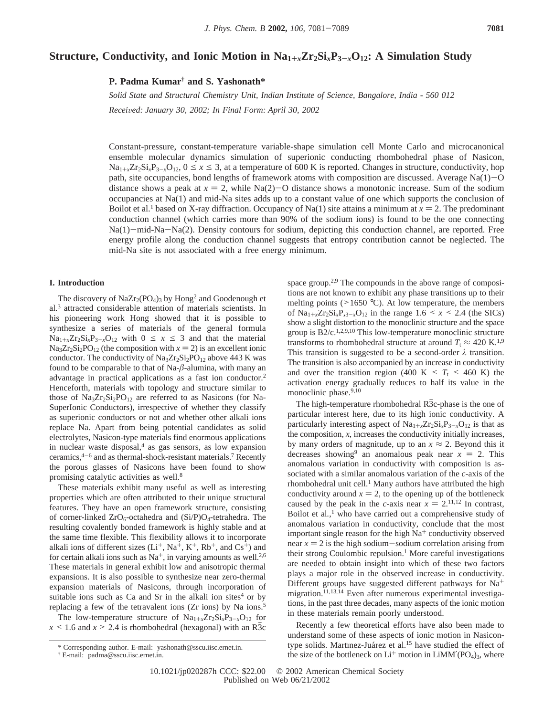### **Structure, Conductivity, and Ionic Motion in Na1**+*<sup>x</sup>***Zr2Si***x***P3**-*<sup>x</sup>***O12: A Simulation Study**

**P. Padma Kumar† and S. Yashonath\***

*Solid State and Structural Chemistry Unit, Indian Institute of Science, Bangalore, India - 560 012 Recei*V*ed: January 30, 2002; In Final Form: April 30, 2002*

Constant-pressure, constant-temperature variable-shape simulation cell Monte Carlo and microcanonical ensemble molecular dynamics simulation of superionic conducting rhombohedral phase of Nasicon,  $\text{Na}_{1+x}\text{Zr}_2\text{Si}_x\text{P}_{3-x}\text{O}_{12}$ ,  $0 \le x \le 3$ , at a temperature of 600 K is reported. Changes in structure, conductivity, hop path, site occupancies, bond lengths of framework atoms with composition are discussed. Average Na(1)-<sup>O</sup> distance shows a peak at  $x = 2$ , while Na(2)-O distance shows a monotonic increase. Sum of the sodium occupancies at Na(1) and mid-Na sites adds up to a constant value of one which supports the conclusion of Boilot et al.<sup>1</sup> based on X-ray diffraction. Occupancy of Na(1) site attains a minimum at  $x = 2$ . The predominant conduction channel (which carries more than 90% of the sodium ions) is found to be the one connecting Na(1)-mid-Na-Na(2). Density contours for sodium, depicting this conduction channel, are reported. Free energy profile along the conduction channel suggests that entropy contribution cannot be neglected. The mid-Na site is not associated with a free energy minimum.

#### **I. Introduction**

The discovery of NaZr<sub>2</sub>(PO<sub>4</sub>)<sub>3</sub> by Hong<sup>2</sup> and Goodenough et al*.* <sup>3</sup> attracted considerable attention of materials scientists. In his pioneering work Hong showed that it is possible to synthesize a series of materials of the general formula  $\text{Na}_{1+x}\text{Zr}_2\text{Si}_x\text{P}_{3-x}\text{O}_{12}$  with  $0 \leq x \leq 3$  and that the material  $\text{Na}_3\text{Zr}_2\text{Si}_2\text{PO}_{12}$  (the composition with  $x = 2$ ) is an excellent ionic conductor. The conductivity of  $Na<sub>3</sub>Zr<sub>2</sub>Si<sub>2</sub>PO<sub>12</sub>$  above 443 K was found to be comparable to that of Na-*â*-alumina, with many an advantage in practical applications as a fast ion conductor.2 Henceforth, materials with topology and structure similar to those of  $Na<sub>3</sub>Zr<sub>2</sub>Si<sub>2</sub>PO<sub>12</sub>$  are referred to as Nasicons (for Na-SuperIonic Conductors), irrespective of whether they classify as superionic conductors or not and whether other alkali ions replace Na. Apart from being potential candidates as solid electrolytes, Nasicon-type materials find enormous applications in nuclear waste disposal, $4$  as gas sensors, as low expansion ceramics,4-<sup>6</sup> and as thermal-shock-resistant materials.7 Recently the porous glasses of Nasicons have been found to show promising catalytic activities as well.8

These materials exhibit many useful as well as interesting properties which are often attributed to their unique structural features. They have an open framework structure, consisting of corner-linked  $ZrO_6$ -octahedra and  $(Si/P)O_4$ -tetrahedra. The resulting covalently bonded framework is highly stable and at the same time flexible. This flexibility allows it to incorporate alkali ions of different sizes  $(L<sup>+</sup>, Na<sup>+</sup>, K<sup>+</sup>, Rb<sup>+</sup>, and Cs<sup>+</sup>)$  and for certain alkali ions such as  $Na^+$ , in varying amounts as well.<sup>2,6</sup> These materials in general exhibit low and anisotropic thermal expansions. It is also possible to synthesize near zero-thermal expansion materials of Nasicons, through incorporation of suitable ions such as Ca and Sr in the alkali ion sites $4$  or by replacing a few of the tetravalent ions (Zr ions) by Na ions.5

The low-temperature structure of  $Na_{1+x}Zr_2Si_xP_{3-x}O_{12}$  for  $x \le 1.6$  and  $x \ge 2.4$  is rhombohedral (hexagonal) with an R3c space group.<sup>2,9</sup> The compounds in the above range of compositions are not known to exhibit any phase transitions up to their melting points ( $>1650$  °C). At low temperature, the members of  $\text{Na}_{1+x}\text{Zr}_2\text{Si}_x\text{P}_{,3-x}\text{O}_{12}$  in the range 1.6 < *x* < 2.4 (the SICs) show a slight distortion to the monoclinic structure and the space group is  $B2/c$ <sup>1,2,9,10</sup> This low-temperature monoclinic structure transforms to rhombohedral structure at around  $T_t \approx 420 \text{ K}^{1,9}$ This transition is suggested to be a second-order *λ* transition. The transition is also accompanied by an increase in conductivity and over the transition region (400 K  $\leq T_t \leq 460$  K) the activation energy gradually reduces to half its value in the monoclinic phase.<sup>9,10</sup>

The high-temperature rhombohedral  $R\overline{3}c$ -phase is the one of particular interest here, due to its high ionic conductivity. A particularly interesting aspect of  $\text{Na}_{1+x}\text{Zr}_2\text{Si}_x\text{P}_{3-x}\text{O}_{12}$  is that as the composition, *x*, increases the conductivity initially increases, by many orders of magnitude, up to an  $x \approx 2$ . Beyond this it decreases showing<sup>9</sup> an anomalous peak near  $x = 2$ . This anomalous variation in conductivity with composition is associated with a similar anomalous variation of the *c*-axis of the rhombohedral unit cell.<sup>1</sup> Many authors have attributed the high conductivity around  $x = 2$ , to the opening up of the bottleneck caused by the peak in the *c*-axis near  $x = 2$ .<sup>11,12</sup> In contrast, Boilot et al*.*, <sup>1</sup> who have carried out a comprehensive study of anomalous variation in conductivity, conclude that the most important single reason for the high  $Na<sup>+</sup>$  conductivity observed near  $x = 2$  is the high sodium-sodium correlation arising from their strong Coulombic repulsion.<sup>1</sup> More careful investigations are needed to obtain insight into which of these two factors plays a major role in the observed increase in conductivity. Different groups have suggested different pathways for Na+ migration.<sup>11,13,14</sup> Even after numerous experimental investigations, in the past three decades, many aspects of the ionic motion in these materials remain poorly understood.

Recently a few theoretical efforts have also been made to understand some of these aspects of ionic motion in Nasicontype solids. Martınez-Juárez et al.<sup>15</sup> have studied the effect of the size of the bottleneck on  $Li^+$  motion in  $LiMM'(PO_4)_3$ , where

<sup>\*</sup> Corresponding author. E-mail: yashonath@sscu.iisc.ernet.in.

<sup>†</sup> E-mail: padma@sscu.iisc.ernet.in.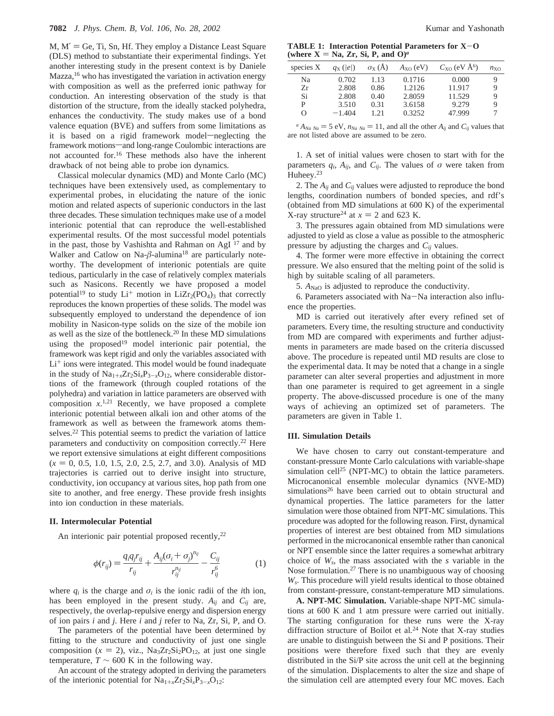$M, M' = Ge$ , Ti, Sn, Hf. They employ a Distance Least Square (DLS) method to substantiate their experimental findings. Yet another interesting study in the present context is by Daniele  $Mazza<sub>16</sub>$  who has investigated the variation in activation energy with composition as well as the preferred ionic pathway for conduction. An interesting observation of the study is that distortion of the structure, from the ideally stacked polyhedra, enhances the conductivity. The study makes use of a bond valence equation (BVE) and suffers from some limitations as it is based on a rigid framework model-neglecting the framework motions—and long-range Coulombic interactions are not accounted for.16 These methods also have the inherent drawback of not being able to probe ion dynamics.

Classical molecular dynamics (MD) and Monte Carlo (MC) techniques have been extensively used, as complementary to experimental probes, in elucidating the nature of the ionic motion and related aspects of superionic conductors in the last three decades. These simulation techniques make use of a model interionic potential that can reproduce the well-established experimental results. Of the most successful model potentials in the past, those by Vashishta and Rahman on AgI <sup>17</sup> and by Walker and Catlow on Na- $\beta$ -alumina<sup>18</sup> are particularly noteworthy. The development of interionic potentials are quite tedious, particularly in the case of relatively complex materials such as Nasicons. Recently we have proposed a model potential<sup>19</sup> to study  $Li^+$  motion in  $LiZr_2(PO_4)$ <sub>3</sub> that correctly reproduces the known properties of these solids. The model was subsequently employed to understand the dependence of ion mobility in Nasicon-type solids on the size of the mobile ion as well as the size of the bottleneck.20 In these MD simulations using the proposed<sup>19</sup> model interionic pair potential, the framework was kept rigid and only the variables associated with  $Li<sup>+</sup>$  ions were integrated. This model would be found inadequate in the study of  $Na_{1+x}Zr_2Si_xP_{3-x}O_{12}$ , where considerable distortions of the framework (through coupled rotations of the polyhedra) and variation in lattice parameters are observed with composition  $x$ <sup>1,21</sup> Recently, we have proposed a complete interionic potential between alkali ion and other atoms of the framework as well as between the framework atoms themselves.<sup>22</sup> This potential seems to predict the variation of lattice parameters and conductivity on composition correctly.22 Here we report extensive simulations at eight different compositions  $(x = 0, 0.5, 1.0, 1.5, 2.0, 2.5, 2.7,$  and 3.0). Analysis of MD trajectories is carried out to derive insight into structure, conductivity, ion occupancy at various sites, hop path from one site to another, and free energy. These provide fresh insights into ion conduction in these materials.

#### **II. Intermolecular Potential**

An interionic pair potential proposed recently,<sup>22</sup>

$$
\phi(r_{ij}) = \frac{q_i q_j r_{ij}}{r_{ij}} + \frac{A_{ij} (\sigma_i + \sigma_j)^{n_{ij}}}{r_{ij}^{n_{ij}}} - \frac{C_{ij}}{r_{ij}^6}
$$
(1)

where  $q_i$  is the charge and  $\sigma_i$  is the ionic radii of the *i*th ion, has been employed in the present study.  $A_{ij}$  and  $C_{ij}$  are, respectively, the overlap-repulsive energy and dispersion energy of ion pairs *i* and *j*. Here *i* and *j* refer to Na, Zr, Si, P, and O.

The parameters of the potential have been determined by fitting to the structure and conductivity of just one single composition  $(x = 2)$ , viz., Na<sub>3</sub>Zr<sub>2</sub>Si<sub>2</sub>PO<sub>12</sub>, at just one single temperature,  $T \sim 600$  K in the following way.

An account of the strategy adopted in deriving the parameters of the interionic potential for  $Na_{1+x}Zr_2Si_xP_{3-x}O_{12}$ :

**TABLE 1: Interaction Potential Parameters for X**-**<sup>O</sup>** (where  $X = Na$ ,  $Zr$ ,  $Si$ ,  $P$ , and  $O$ )<sup>*a*</sup>

| species X | $q_{\rm X}$ ( e ) | $\sigma_{\rm X}$ (Å) | $A_{XO}$ (eV) | $C_{XO}$ (eV $\AA$ <sup>6</sup> ) | $n_{\rm XO}$ |
|-----------|-------------------|----------------------|---------------|-----------------------------------|--------------|
| Na        | 0.702             | 1.13                 | 0.1716        | 0.000                             | 9            |
| Zr        | 2.808             | 0.86                 | 1.2126        | 11.917                            | 9            |
| Si        | 2.808             | 0.40                 | 2.8059        | 11.529                            | 9            |
| P         | 3.510             | 0.31                 | 3.6158        | 9.279                             | 9            |
| $\Omega$  | $-1.404$          | 1.21                 | 0.3252        | 47.999                            |              |
|           |                   |                      |               |                                   |              |

 $^{a}$  *A<sub>Na Na</sub>* = 5 eV,  $n_{Na\ Na}$  = 11, and all the other  $A_{ii}$  and  $C_{ii}$  values that are not listed above are assumed to be zero.

1. A set of initial values were chosen to start with for the parameters  $q_i$ ,  $A_{ij}$ , and  $C_{ij}$ . The values of  $\sigma$  were taken from Huheey.<sup>23</sup>

2. The *Aij* and *Cij* values were adjusted to reproduce the bond lengths, coordination numbers of bonded species, and rdf's (obtained from MD simulations at 600 K) of the experimental X-ray structure<sup>24</sup> at  $x = 2$  and 623 K.

3. The pressures again obtained from MD simulations were adjusted to yield as close a value as possible to the atmospheric pressure by adjusting the charges and *Cij* values.

4. The former were more effective in obtaining the correct pressure. We also ensured that the melting point of the solid is high by suitable scaling of all parameters.

5.  $A_{\text{NaO}}$  is adjusted to reproduce the conductivity.

6. Parameters associated with Na-Na interaction also influence the properties.

MD is carried out iteratively after every refined set of parameters. Every time, the resulting structure and conductivity from MD are compared with experiments and further adjustments in parameters are made based on the criteria discussed above. The procedure is repeated until MD results are close to the experimental data. It may be noted that a change in a single parameter can alter several properties and adjustment in more than one parameter is required to get agreement in a single property. The above-discussed procedure is one of the many ways of achieving an optimized set of parameters. The parameters are given in Table 1.

#### **III. Simulation Details**

We have chosen to carry out constant-temperature and constant-pressure Monte Carlo calculations with variable-shape simulation cell<sup>25</sup> (NPT-MC) to obtain the lattice parameters. Microcanonical ensemble molecular dynamics (NVE-MD) simulations<sup>26</sup> have been carried out to obtain structural and dynamical properties. The lattice parameters for the latter simulation were those obtained from NPT-MC simulations. This procedure was adopted for the following reason. First, dynamical properties of interest are best obtained from MD simulations performed in the microcanonical ensemble rather than canonical or NPT ensemble since the latter requires a somewhat arbitrary choice of *Ws*, the mass associated with the *s* variable in the Nose formulation.27 There is no unambiguous way of choosing *Ws*. This procedure will yield results identical to those obtained from constant-pressure, constant-temperature MD simulations.

**A. NPT-MC Simulation.** Variable-shape NPT-MC simulations at 600 K and 1 atm pressure were carried out initially. The starting configuration for these runs were the X-ray diffraction structure of Boilot et al*.* <sup>24</sup> Note that X-ray studies are unable to distinguish between the Si and P positions. Their positions were therefore fixed such that they are evenly distributed in the Si/P site across the unit cell at the beginning of the simulation. Displacements to alter the size and shape of the simulation cell are attempted every four MC moves. Each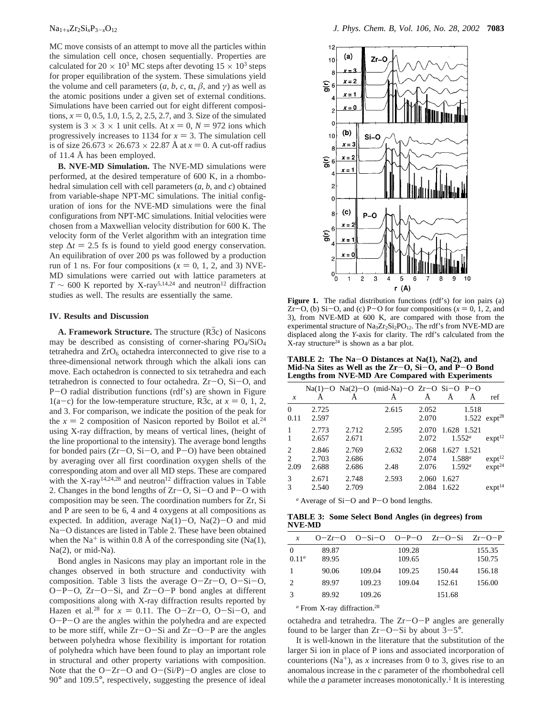MC move consists of an attempt to move all the particles within the simulation cell once, chosen sequentially. Properties are calculated for  $20 \times 10^3$  MC steps after devoting  $15 \times 10^3$  steps for proper equilibration of the system. These simulations yield the volume and cell parameters  $(a, b, c, \alpha, \beta, \text{ and } \gamma)$  as well as the atomic positions under a given set of external conditions. Simulations have been carried out for eight different compositions,  $x = 0, 0.5, 1.0, 1.5, 2, 2.5, 2.7,$  and 3. Size of the simulated system is  $3 \times 3 \times 1$  unit cells. At  $x = 0$ ,  $N = 972$  ions which progressively increases to 1134 for  $x = 3$ . The simulation cell is of size  $26.673 \times 26.673 \times 22.87$  Å at  $x = 0$ . A cut-off radius of 11.4 Å has been employed.

**B. NVE-MD Simulation.** The NVE-MD simulations were performed, at the desired temperature of 600 K, in a rhombohedral simulation cell with cell parameters (*a*, *b,* and *c*) obtained from variable-shape NPT-MC simulations. The initial configuration of ions for the NVE-MD simulations were the final configurations from NPT-MC simulations. Initial velocities were chosen from a Maxwellian velocity distribution for 600 K. The velocity form of the Verlet algorithm with an integration time step  $\Delta t = 2.5$  fs is found to yield good energy conservation. An equilibration of over 200 ps was followed by a production run of 1 ns. For four compositions  $(x = 0, 1, 2, \text{ and } 3)$  NVE-MD simulations were carried out with lattice parameters at  $T \sim 600$  K reported by X-ray<sup>5,14,24</sup> and neutron<sup>12</sup> diffraction studies as well. The results are essentially the same.

#### **IV. Results and Discussion**

**A. Framework Structure.** The structure  $(R\overline{3}c)$  of Nasicons may be described as consisting of corner-sharing PO4/SiO4 tetrahedra and  $ZrO<sub>6</sub>$  octahedra interconnected to give rise to a three-dimensional network through which the alkali ions can move. Each octahedron is connected to six tetrahedra and each tetrahedron is connected to four octahedra. Zr-O, Si-O, and <sup>P</sup>-O radial distribution functions (rdf's) are shown in Figure  $1(a-c)$  for the low-temperature structure, R3c, at  $x = 0, 1, 2$ , and 3. For comparison, we indicate the position of the peak for the  $x = 2$  composition of Nasicon reported by Boilot et al.<sup>24</sup><br>using X-ray diffraction, by means of vertical lines, (beight of using X-ray diffraction, by means of vertical lines, (height of the line proportional to the intensity). The average bond lengths for bonded pairs  $(Zr-O, Si-O, and P-O)$  have been obtained by averaging over all first coordination oxygen shells of the corresponding atom and over all MD steps. These are compared with the X-ray<sup>14,24,28</sup> and neutron<sup>12</sup> diffraction values in Table 2. Changes in the bond lengths of  $Zr-O$ ,  $Si-O$  and  $P-O$  with composition may be seen. The coordination numbers for Zr, Si and P are seen to be 6, 4 and 4 oxygens at all compositions as expected. In addition, average  $Na(1)-O$ ,  $Na(2)-O$  and mid Na-O distances are listed in Table 2. These have been obtained when the Na<sup>+</sup> is within 0.8 Å of the corresponding site (Na(1), Na(2), or mid-Na).

Bond angles in Nasicons may play an important role in the changes observed in both structure and conductivity with composition. Table 3 lists the average O-Zr-O, O-Si-O, <sup>O</sup>-P-O, Zr-O-Si, and Zr-O-P bond angles at different compositions along with X-ray diffraction results reported by Hazen et al.<sup>28</sup> for  $x = 0.11$ . The O-Zr-O, O-Si-O, and  $Q-P$ -O are the angles within the polyhedra and are expected <sup>O</sup>-P-O are the angles within the polyhedra and are expected to be more stiff, while Zr-O-Si and Zr-O-P are the angles between polyhedra whose flexibility is important for rotation of polyhedra which have been found to play an important role in structural and other property variations with composition. Note that the  $O-Zr-O$  and  $O-(Si/P)-O$  angles are close to 90° and 109.5°, respectively, suggesting the presence of ideal



Figure 1. The radial distribution functions (rdf's) for ion pairs (a) Zr-O, (b) Si-O, and (c) P-O for four compositions  $(x = 0, 1, 2,$  and 3), from NVE-MD at 600 K, are compared with those from the experimental structure of  $\text{Na}_3\text{Zr}_2\text{Si}_2\text{PO}_{12}$ . The rdf's from NVE-MD are displaced along the *Y*-axis for clarity. The rdf's calculated from the X-ray structure24 is shown as a bar plot.

**TABLE 2: The Na**-**O Distances at Na(1), Na(2), and Mid-Na Sites as Well as the Zr**-**O, Si**-**O, and P**-**O Bond Lengths from NVE-MD Are Compared with Experiments**

| $\boldsymbol{x}$   |                         |                         | $Na(1)-O$ $Na(2)-O$ (mid-Na)-O $Zr-O$ $Si-O$ $P-O$ |                         |                                         |       | ref                               |
|--------------------|-------------------------|-------------------------|----------------------------------------------------|-------------------------|-----------------------------------------|-------|-----------------------------------|
|                    |                         |                         |                                                    |                         |                                         |       |                                   |
| $\Omega$<br>0.11   | 2.725<br>2.597          |                         | 2.615                                              | 2.052<br>2.070          |                                         | 1.518 | 1.522 $exp28$                     |
| 1<br>$\mathbf{1}$  | 2.773<br>2.657          | 2.712<br>2.671          | 2.595                                              | 2.070<br>2.072          | 1.628 1.521<br>$1.552^a$                |       | expt <sup>12</sup>                |
| 2<br>2<br>2.09     | 2.846<br>2.703<br>2.688 | 2.769<br>2.686<br>2.686 | 2.632<br>2.48                                      | 2.068<br>2.074<br>2.076 | 1.627 1.521<br>$1.588^{a}$<br>$1.592^a$ |       | expt <sup>12</sup><br>$expt^{24}$ |
| 3<br>$\mathcal{R}$ | 2.671<br>2.540          | 2.748<br>2.709          | 2.593                                              | 2.060<br>2.084          | 1.627<br>1.622                          |       | expt <sup>14</sup>                |

*a* Average of Si-O and P-O bond lengths.

**TABLE 3: Some Select Bond Angles (in degrees) from NVE-MD**

| $\boldsymbol{x}$     | $O - Zr - O$   |        |                  | $O-Si-O$ $O-P-O$ $Zr-O-Si$ $Zr-O-P$ |                  |
|----------------------|----------------|--------|------------------|-------------------------------------|------------------|
| $\Omega$<br>$0.11^a$ | 89.87<br>89.95 |        | 109.28<br>109.65 |                                     | 155.35<br>150.75 |
|                      | 90.06          | 109.04 | 109.25           | 150.44                              | 156.18           |
| 2                    | 89.97          | 109.23 | 109.04           | 152.61                              | 156.00           |
| $\mathcal{R}$        | 89.92          | 109.26 |                  | 151.68                              |                  |

*<sup>a</sup>* From X-ray diffraction.28

octahedra and tetrahedra. The Zr-O-P angles are generally found to be larger than  $Zr-O-Si$  by about  $3-5^\circ$ .

It is well-known in the literature that the substitution of the larger Si ion in place of P ions and associated incorporation of counterions  $(Na<sup>+</sup>)$ , as *x* increases from 0 to 3, gives rise to an anomalous increase in the *c* parameter of the rhombohedral cell while the *a* parameter increases monotonically.<sup>1</sup> It is interesting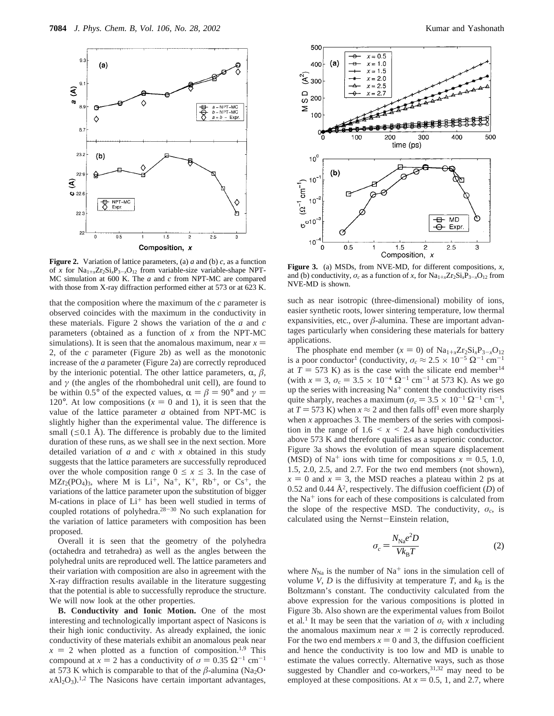

**Figure 2.** Variation of lattice parameters, (a) *a* and (b) *c*, as a function of *x* for  $Na_{1+x}Zr_2Si_xP_{3-x}O_{12}$  from variable-size variable-shape NPT-MC simulation at 600 K. The *a* and *c* from NPT-MC are compared with those from X-ray diffraction performed either at 573 or at 623 K.

that the composition where the maximum of the *c* parameter is observed coincides with the maximum in the conductivity in these materials. Figure 2 shows the variation of the *a* and *c* parameters (obtained as a function of *x* from the NPT-MC simulations). It is seen that the anomalous maximum, near  $x =$ 2, of the *c* parameter (Figure 2b) as well as the monotonic increase of the *a* parameter (Figure 2a) are correctly reproduced by the interionic potential. The other lattice parameters,  $\alpha$ ,  $\beta$ , and  $\gamma$  (the angles of the rhombohedral unit cell), are found to be within 0.5° of the expected values,  $\alpha = \beta = 90^{\circ}$  and  $\gamma =$ 120 $^{\circ}$ . At low compositions ( $x = 0$  and 1), it is seen that the value of the lattice parameter *a* obtained from NPT-MC is slightly higher than the experimental value. The difference is small ( $\leq 0.1$  Å). The difference is probably due to the limited duration of these runs, as we shall see in the next section. More detailed variation of *a* and *c* with *x* obtained in this study suggests that the lattice parameters are successfully reproduced over the whole composition range  $0 \le x \le 3$ . In the case of  $MZr<sub>2</sub>(PO<sub>4</sub>)<sub>3</sub>$ , where M is Li<sup>+</sup>, Na<sup>+</sup>, K<sup>+</sup>, Rb<sup>+</sup>, or Cs<sup>+</sup>, the variations of the lattice parameter upon the substitution of bigger M-cations in place of Li<sup>+</sup> has been well studied in terms of coupled rotations of polyhedra.28-<sup>30</sup> No such explanation for the variation of lattice parameters with composition has been proposed.

Overall it is seen that the geometry of the polyhedra (octahedra and tetrahedra) as well as the angles between the polyhedral units are reproduced well. The lattice parameters and their variation with composition are also in agreement with the X-ray diffraction results available in the literature suggesting that the potential is able to successfully reproduce the structure. We will now look at the other properties.

**B. Conductivity and Ionic Motion.** One of the most interesting and technologically important aspect of Nasicons is their high ionic conductivity. As already explained, the ionic conductivity of these materials exhibit an anomalous peak near  $x = 2$  when plotted as a function of composition.<sup>1,9</sup> This compound at  $x = 2$  has a conductivity of  $\sigma = 0.35 \Omega^{-1}$  cm<sup>-1</sup> at 573 K which is comparable to that of the  $\beta$ -alumina (Na<sub>2</sub>O<sup>+</sup>)  $xAl<sub>2</sub>O<sub>3</sub>$ .<sup>1,2</sup> The Nasicons have certain important advantages,



**Figure 3.** (a) MSDs, from NVE-MD, for different compositions, *x*, and (b) conductivity,  $\sigma_c$  as a function of *x*, for  $\text{Na}_{1+x}\text{Zr}_2\text{Si}_x\text{P}_{3-x}\text{O}_{12}$  from NVE-MD is shown.

such as near isotropic (three-dimensional) mobility of ions, easier synthetic roots, lower sintering temperature, low thermal expansivities, etc., over  $\beta$ -alumina. These are important advantages particularly when considering these materials for battery applications.

The phosphate end member  $(x = 0)$  of  $\text{Na}_{1+x}\text{Zr}_2\text{Si}_x\text{P}_{3-x}\text{O}_{12}$ is a poor conductor<sup>1</sup> (conductivity,  $\sigma_c \approx 2.5 \times 10^{-5} \Omega^{-1}$  cm<sup>-1</sup> at  $T = 573$  K) as is the case with the silicate end member<sup>14</sup> (with  $x = 3$ ,  $\sigma_c = 3.5 \times 10^{-4} \Omega^{-1}$  cm<sup>-1</sup> at 573 K). As we go up the series with increasing  $Na<sup>+</sup>$  content the conductivity rises quite sharply, reaches a maximum ( $\sigma_c = 3.5 \times 10^{-1} \Omega^{-1}$  cm<sup>-1</sup>, at  $T = 573$  K) when  $x \approx 2$  and then falls of f<sup>1</sup> even more sharply when *x* approaches 3. The members of the series with composition in the range of  $1.6 \le x \le 2.4$  have high conductivities above 573 K and therefore qualifies as a superionic conductor. Figure 3a shows the evolution of mean square displacement (MSD) of Na<sup>+</sup> ions with time for compositions  $x = 0.5, 1.0$ , 1.5, 2.0, 2.5, and 2.7. For the two end members (not shown),  $x = 0$  and  $x = 3$ , the MSD reaches a plateau within 2 ps at 0.52 and 0.44  $\AA^2$ , respectively. The diffusion coefficient (*D*) of the  $Na<sup>+</sup>$  ions for each of these compositions is calculated from the slope of the respective MSD. The conductivity,  $\sigma_c$ , is calculated using the Nernst-Einstein relation,

$$
\sigma_c = \frac{N_{\text{Na}}e^2D}{Vk_{\text{B}}T} \tag{2}
$$

where  $N_{\text{Na}}$  is the number of Na<sup>+</sup> ions in the simulation cell of volume *V*, *D* is the diffusivity at temperature *T*, and  $k_B$  is the Boltzmann's constant. The conductivity calculated from the above expression for the various compositions is plotted in Figure 3b. Also shown are the experimental values from Boilot et al.<sup>1</sup> It may be seen that the variation of  $\sigma_c$  with *x* including the anomalous maximum near  $x = 2$  is correctly reproduced. For the two end members  $x = 0$  and 3, the diffusion coefficient and hence the conductivity is too low and MD is unable to estimate the values correctly. Alternative ways, such as those suggested by Chandler and co-workers,  $31,32$  may need to be employed at these compositions. At  $x = 0.5$ , 1, and 2.7, where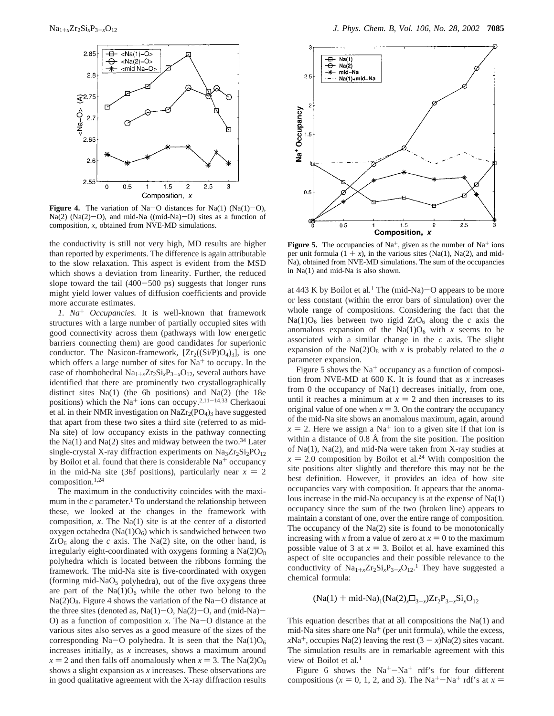

**Figure 4.** The variation of Na-O distances for Na(1)  $(Na(1)-O)$ ,  $Na(2)$  (Na(2)-O), and mid-Na ((mid-Na)-O) sites as a function of composition, *x*, obtained from NVE-MD simulations.

the conductivity is still not very high, MD results are higher than reported by experiments. The difference is again attributable to the slow relaxation. This aspect is evident from the MSD which shows a deviation from linearity. Further, the reduced slope toward the tail  $(400-500 \text{ ps})$  suggests that longer runs might yield lower values of diffusion coefficients and provide more accurate estimates.

*1. Na*<sup>+</sup> *Occupancies.* It is well-known that framework structures with a large number of partially occupied sites with good connectivity across them (pathways with low energetic barriers connecting them) are good candidates for superionic conductor. The Nasicon-framework,  $[Zr_2((Si/P)O_4)_3]$ , is one which offers a large number of sites for  $Na<sup>+</sup>$  to occupy. In the case of rhombohedral  $Na_{1+x}Zr_2Si_xP_{3-x}O_{12}$ , several authors have identified that there are prominently two crystallographically distinct sites Na(1) (the 6b positions) and Na(2) (the 18e positions) which the Na<sup>+</sup> ions can occupy.<sup>2,11-14,33</sup> Cherkaoui et al. in their NMR investigation on NaZr<sub>2</sub>(PO<sub>4</sub>)<sub>3</sub> have suggested that apart from these two sites a third site (referred to as mid-Na site) of low occupancy exists in the pathway connecting the Na(1) and Na(2) sites and midway between the two. $34$  Later single-crystal X-ray diffraction experiments on  $Na<sub>3</sub>Zr<sub>2</sub>Si<sub>2</sub>PO<sub>12</sub>$ by Boilot et al. found that there is considerable Na<sup>+</sup> occupancy in the mid-Na site (36f positions), particularly near  $x = 2$ composition.1,24

The maximum in the conductivity coincides with the maximum in the  $c$  parameter.<sup>1</sup> To understand the relationship between these, we looked at the changes in the framework with composition, *x*. The Na(1) site is at the center of a distorted oxygen octahedra ( $Na(1)O<sub>6</sub>$ ) which is sandwiched between two  $ZrO_6$  along the *c* axis. The Na(2) site, on the other hand, is irregularly eight-coordinated with oxygens forming a  $Na(2)O_8$ polyhedra which is located between the ribbons forming the framework. The mid-Na site is five-coordinated with oxygen (forming mid-NaO<sub>5</sub> polyhedra), out of the five oxygens three are part of the  $Na(1)O_6$  while the other two belong to the  $Na(2)O_8$ . Figure 4 shows the variation of the Na-O distance at the three sites (denoted as,  $Na(1)-O$ ,  $Na(2)-O$ , and (mid-Na) O) as a function of composition *<sup>x</sup>*. The Na-O distance at the various sites also serves as a good measure of the sizes of the corresponding Na-O polyhedra. It is seen that the Na(1) $O<sub>6</sub>$ increases initially, as *x* increases, shows a maximum around  $x = 2$  and then falls off anomalously when  $x = 3$ . The Na(2)O<sub>8</sub> shows a slight expansion as *x* increases. These observations are in good qualitative agreement with the X-ray diffraction results



**Figure 5.** The occupancies of  $Na^+$ , given as the number of  $Na^+$  ions per unit formula  $(1 + x)$ , in the various sites (Na(1), Na(2), and mid-Na), obtained from NVE-MD simulations. The sum of the occupancies in Na(1) and mid-Na is also shown.

at 443 K by Boilot et al.<sup>1</sup> The (mid-Na) $-$ O appears to be more<br>or less constant (within the error bars of simulation) over the or less constant (within the error bars of simulation) over the whole range of compositions. Considering the fact that the  $Na(1)O<sub>6</sub>$  lies between two rigid  $ZrO<sub>6</sub>$  along the *c* axis the anomalous expansion of the  $Na(1)O_6$  with *x* seems to be associated with a similar change in the *c* axis. The slight expansion of the  $Na(2)O_8$  with *x* is probably related to the *a* parameter expansion.

Figure 5 shows the  $Na<sup>+</sup>$  occupancy as a function of composition from NVE-MD at 600 K. It is found that as *x* increases from 0 the occupancy of Na(1) decreases initially, from one, until it reaches a minimum at  $x = 2$  and then increases to its original value of one when  $x = 3$ . On the contrary the occupancy of the mid-Na site shows an anomalous maximum, again, around  $x = 2$ . Here we assign a Na<sup>+</sup> ion to a given site if that ion is within a distance of 0.8 Å from the site position. The position of Na(1), Na(2), and mid-Na were taken from X-ray studies at  $x = 2.0$  composition by Boilot et al.<sup>24</sup> With composition the site positions alter slightly and therefore this may not be the site positions alter slightly and therefore this may not be the best definition. However, it provides an idea of how site occupancies vary with composition. It appears that the anomalous increase in the mid-Na occupancy is at the expense of Na(1) occupancy since the sum of the two (broken line) appears to maintain a constant of one, over the entire range of composition. The occupancy of the  $Na(2)$  site is found to be monotonically increasing with *x* from a value of zero at  $x = 0$  to the maximum possible value of 3 at  $x = 3$ . Boilot et al. have examined this aspect of site occupancies and their possible relevance to the conductivity of  $Na_{1+x}Zr_2Si_xP_{3-x}O_{12}$ .<sup>1</sup> They have suggested a chamical formula: chemical formula:

 $(Na(1) + mid-Na)_{1}(Na(2),\Box_{3-r})Zr_{2}P_{3-r}Si_{r}O_{12}$ 

This equation describes that at all compositions the Na(1) and mid-Na sites share one  $Na<sup>+</sup>$  (per unit formula), while the excess, *x*Na<sup>+</sup>, occupies Na(2) leaving the rest  $(3 - x)$ Na(2) sites vacant. The simulation results are in remarkable agreement with this view of Boilot et al*.* 1

Figure 6 shows the  $Na^{+}-Na^{+}$  rdf's for four different compositions ( $x = 0, 1, 2,$  and 3). The Na<sup>+</sup>-Na<sup>+</sup> rdf's at  $x =$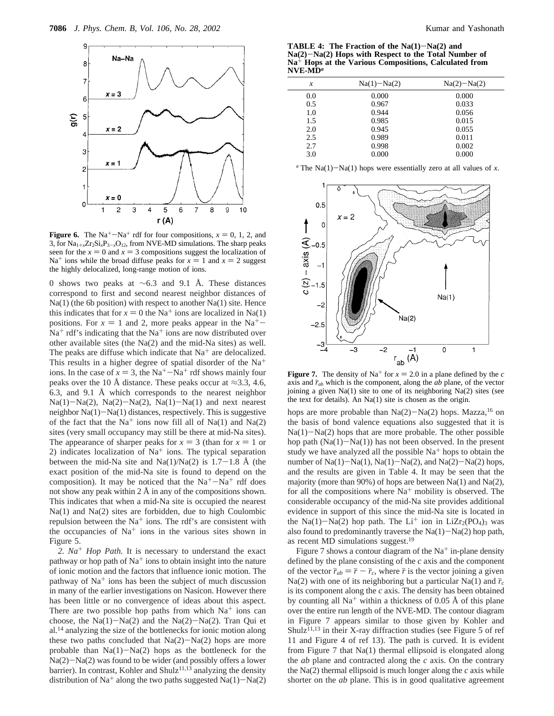

**Figure 6.** The Na<sup>+</sup>-Na<sup>+</sup> rdf for four compositions,  $x = 0, 1, 2$ , and 3, for  $Na_{1+x}Zr_2Si_xP_{3-x}O_{12}$ , from NVE-MD simulations. The sharp peaks seen for the  $x = 0$  and  $x = 3$  compositions suggest the localization of Na<sup>+</sup> ions while the broad diffuse peaks for  $x = 1$  and  $x = 2$  suggest the highly delocalized, long-range motion of ions.

0 shows two peaks at ∼6.3 and 9.1 Å. These distances correspond to first and second nearest neighbor distances of Na(1) (the 6b position) with respect to another Na(1) site. Hence this indicates that for  $x = 0$  the Na<sup>+</sup> ions are localized in Na(1) positions. For  $x = 1$  and 2, more peaks appear in the Na<sup>+</sup>- $Na<sup>+</sup> rdf's indicating that the Na<sup>+</sup> ions are now distributed over$ other available sites (the Na(2) and the mid-Na sites) as well. The peaks are diffuse which indicate that  $Na<sup>+</sup>$  are delocalized. This results in a higher degree of spatial disorder of the Na<sup>+</sup> ions. In the case of  $x = 3$ , the Na<sup>+</sup>-Na<sup>+</sup> rdf shows mainly four peaks over the 10 Å distance. These peaks occur at  $\approx$ 3.3, 4.6, 6.3, and 9.1 Å which corresponds to the nearest neighbor  $Na(1)-Na(2)$ ,  $Na(2)-Na(2)$ ,  $Na(1)-Na(1)$  and next nearest neighbor Na(1)-Na(1) distances, respectively. This is suggestive of the fact that the Na<sup>+</sup> ions now fill all of Na(1) and Na(2) sites (very small occupancy may still be there at mid-Na sites). The appearance of sharper peaks for  $x = 3$  (than for  $x = 1$  or 2) indicates localization of  $Na<sup>+</sup>$  ions. The typical separation between the mid-Na site and Na(1)/Na(2) is  $1.7-1.8$  Å (the exact position of the mid-Na site is found to depend on the composition). It may be noticed that the  $Na^+ - Na^+$  rdf does not show any peak within  $2 \text{ Å}$  in any of the compositions shown. This indicates that when a mid-Na site is occupied the nearest Na(1) and Na(2) sites are forbidden, due to high Coulombic repulsion between the  $Na<sup>+</sup>$  ions. The rdf's are consistent with the occupancies of  $Na<sup>+</sup>$  ions in the various sites shown in Figure 5.

*2. Na*<sup>+</sup> *Hop Path.* It is necessary to understand the exact pathway or hop path of  $Na<sup>+</sup>$  ions to obtain insight into the nature of ionic motion and the factors that influence ionic motion. The pathway of  $Na<sup>+</sup>$  ions has been the subject of much discussion in many of the earlier investigations on Nasicon. However there has been little or no convergence of ideas about this aspect. There are two possible hop paths from which  $Na<sup>+</sup>$  ions can choose, the  $Na(1)-Na(2)$  and the  $Na(2)-Na(2)$ . Tran Qui et al*.* <sup>14</sup> analyzing the size of the bottlenecks for ionic motion along these two paths concluded that  $Na(2)-Na(2)$  hops are more probable than  $Na(1)-Na(2)$  hops as the bottleneck for the  $Na(2)-Na(2)$  was found to be wider (and possibly offers a lower barrier). In contrast, Kohler and Shulz<sup>11,13</sup> analyzing the density distribution of Na<sup>+</sup> along the two paths suggested Na(1)-Na(2)

**TABLE 4: The Fraction of the Na(1)**-**Na(2) and Na(2)**-**Na(2) Hops with Respect to the Total Number of Na**<sup>+</sup> **Hops at the Various Compositions, Calculated from NVE-MD***<sup>a</sup>*

| x   | $Na(1) - Na(2)$ | $Na(2)-Na(2)$ |
|-----|-----------------|---------------|
| 0.0 | 0.000           | 0.000         |
| 0.5 | 0.967           | 0.033         |
| 1.0 | 0.944           | 0.056         |
| 1.5 | 0.985           | 0.015         |
| 2.0 | 0.945           | 0.055         |
| 2.5 | 0.989           | 0.011         |
| 2.7 | 0.998           | 0.002         |
| 3.0 | 0.000           | 0.000         |
|     |                 |               |

 $a$ <sup>r</sup> The Na(1)-Na(1) hops were essentially zero at all values of *x*.



**Figure 7.** The density of Na<sup>+</sup> for  $x = 2.0$  in a plane defined by the *c* axis and  $\bar{r}_{ab}$  which is the component, along the *ab* plane, of the vector joining a given Na(1) site to one of its neighboring Na(2) sites (see the text for details). An Na(1) site is chosen as the origin.

hops are more probable than  $Na(2)-Na(2)$  hops. Mazza,<sup>16</sup> on the basis of bond valence equations also suggested that it is  $Na(1)-Na(2)$  hops that are more probable. The other possible hop path  $(Na(1)-Na(1))$  has not been observed. In the present study we have analyzed all the possible  $Na<sup>+</sup>$  hops to obtain the number of  $Na(1)-Na(1)$ ,  $Na(1)-Na(2)$ , and  $Na(2)-Na(2)$  hops, and the results are given in Table 4. It may be seen that the majority (more than 90%) of hops are between  $Na(1)$  and  $Na(2)$ , for all the compositions where  $Na<sup>+</sup>$  mobility is observed. The considerable occupancy of the mid-Na site provides additional evidence in support of this since the mid-Na site is located in the Na(1)-Na(2) hop path. The Li<sup>+</sup> ion in LiZr<sub>2</sub>(PO<sub>4</sub>)<sub>3</sub> was also found to predominantly traverse the  $Na(1)-Na(2)$  hop path, as recent MD simulations suggest.<sup>19</sup>

Figure 7 shows a contour diagram of the  $Na<sup>+</sup>$  in-plane density defined by the plane consisting of the *c* axis and the component of the vector  $\bar{r}_{ab} = \bar{r} - \bar{r}_c$ , where  $\bar{r}$  is the vector joining a given Na(2) with one of its neighboring but a particular Na(1) and  $\bar{r}_c$ is its component along the *c* axis. The density has been obtained by counting all  $Na<sup>+</sup>$  within a thickness of 0.05 Å of this plane over the entire run length of the NVE-MD. The contour diagram in Figure 7 appears similar to those given by Kohler and Shulz<sup>11,13</sup> in their X-ray diffraction studies (see Figure 5 of ref 11 and Figure 4 of ref 13). The path is curved. It is evident from Figure 7 that Na(1) thermal ellipsoid is elongated along the *ab* plane and contracted along the *c* axis. On the contrary the Na(2) thermal ellipsoid is much longer along the *c* axis while shorter on the *ab* plane. This is in good qualitative agreement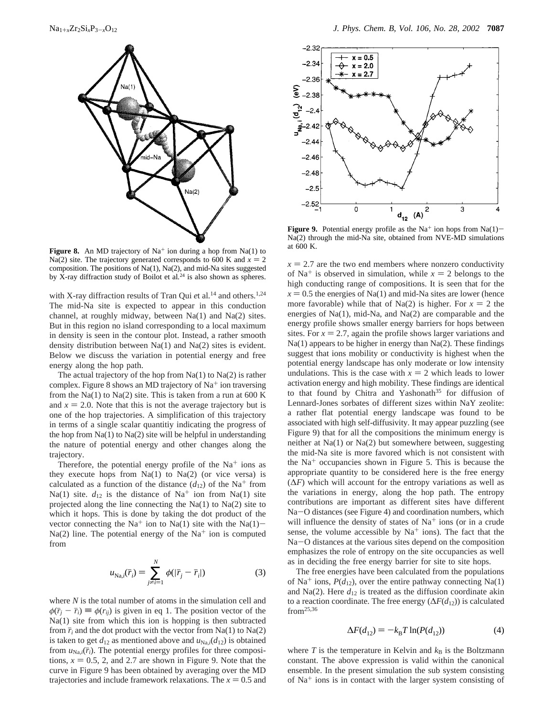

**Figure 8.** An MD trajectory of  $Na<sup>+</sup>$  ion during a hop from Na(1) to Na(2) site. The trajectory generated corresponds to 600 K and  $x = 2$ composition. The positions of Na(1), Na(2), and mid-Na sites suggested by X-ray diffraction study of Boilot et al*.* <sup>24</sup> is also shown as spheres.

with X-ray diffraction results of Tran Qui *et* al.<sup>14</sup> and others.<sup>1,24</sup> The mid-Na site is expected to appear in this conduction channel, at roughly midway, between Na(1) and Na(2) sites. But in this region no island corresponding to a local maximum in density is seen in the contour plot. Instead, a rather smooth density distribution between Na(1) and Na(2) sites is evident. Below we discuss the variation in potential energy and free energy along the hop path.

The actual trajectory of the hop from  $Na(1)$  to  $Na(2)$  is rather complex. Figure 8 shows an MD trajectory of  $Na<sup>+</sup>$  ion traversing from the Na(1) to Na(2) site. This is taken from a run at  $600 \text{ K}$ and  $x = 2.0$ . Note that this is not the average trajectory but is one of the hop trajectories. A simplification of this trajectory in terms of a single scalar quantitiy indicating the progress of the hop from  $Na(1)$  to  $Na(2)$  site will be helpful in understanding the nature of potential energy and other changes along the trajectory.

Therefore, the potential energy profile of the  $Na<sup>+</sup>$  ions as they execute hops from  $Na(1)$  to  $Na(2)$  (or vice versa) is calculated as a function of the distance  $(d_{12})$  of the Na<sup>+</sup> from Na(1) site.  $d_{12}$  is the distance of Na<sup>+</sup> ion from Na(1) site projected along the line connecting the  $Na(1)$  to  $Na(2)$  site to which it hops. This is done by taking the dot product of the vector connecting the Na<sup>+</sup> ion to Na(1) site with the Na(1)- $Na(2)$  line. The potential energy of the Na<sup>+</sup> ion is computed from

$$
u_{\text{Na},i}(\bar{r}_i) = \sum_{j \neq i=1}^{N} \phi(|\bar{r}_j - \bar{r}_i|)
$$
 (3)

where *N* is the total number of atoms in the simulation cell and  $\phi(\bar{r}_i - \bar{r}_i) \equiv \phi(r_{ij})$  is given in eq 1. The position vector of the Na(1) site from which this ion is hopping is then subtracted from  $\bar{r}_i$  and the dot product with the vector from Na(1) to Na(2) is taken to get  $d_{12}$  as mentioned above and  $u_{\text{Na},i}(d_{12})$  is obtained from  $u_{\text{Na},i}(\bar{r}_i)$ . The potential energy profiles for three compositions,  $x = 0.5$ , 2, and 2.7 are shown in Figure 9. Note that the curve in Figure 9 has been obtained by averaging over the MD trajectories and include framework relaxations. The  $x = 0.5$  and



**Figure 9.** Potential energy profile as the Na<sup>+</sup> ion hops from Na(1)– Na(2) through the mid-Na site, obtained from NVE-MD simulations at 600 K.

 $x = 2.7$  are the two end members where nonzero conductivity of Na<sup>+</sup> is observed in simulation, while  $x = 2$  belongs to the high conducting range of compositions. It is seen that for the  $x = 0.5$  the energies of Na(1) and mid-Na sites are lower (hence more favorable) while that of Na(2) is higher. For  $x = 2$  the energies of Na(1), mid-Na, and Na(2) are comparable and the energy profile shows smaller energy barriers for hops between sites. For  $x = 2.7$ , again the profile shows larger variations and Na(1) appears to be higher in energy than Na(2). These findings suggest that ions mobility or conductivity is highest when the potential energy landscape has only moderate or low intensity undulations. This is the case with  $x = 2$  which leads to lower activation energy and high mobility. These findings are identical to that found by Chitra and Yashonath<sup>35</sup> for diffusion of Lennard-Jones sorbates of different sizes within NaY zeolite: a rather flat potential energy landscape was found to be associated with high self-diffusivity. It may appear puzzling (see Figure 9) that for all the compositions the minimum energy is neither at Na(1) or Na(2) but somewhere between, suggesting the mid-Na site is more favored which is not consistent with the  $Na<sup>+</sup>$  occupancies shown in Figure 5. This is because the appropriate quantity to be considered here is the free energy  $(\Delta F)$  which will account for the entropy variations as well as the variations in energy, along the hop path. The entropy contributions are important as different sites have different Na-O distances (see Figure 4) and coordination numbers, which will influence the density of states of  $Na<sup>+</sup>$  ions (or in a crude sense, the volume accessible by  $Na<sup>+</sup>$  ions). The fact that the Na-O distances at the various sites depend on the composition emphasizes the role of entropy on the site occupancies as well as in deciding the free energy barrier for site to site hops.

The free energies have been calculated from the populations of Na<sup>+</sup> ions,  $P(d_{12})$ , over the entire pathway connecting Na(1) and Na(2). Here  $d_{12}$  is treated as the diffusion coordinate akin to a reaction coordinate. The free energy (∆*F*(*d*12)) is calculated  $from<sup>25,36</sup>$ 

$$
\Delta F(d_{12}) = -k_{\rm B} T \ln(P(d_{12})) \tag{4}
$$

where  $T$  is the temperature in Kelvin and  $k_B$  is the Boltzmann constant. The above expression is valid within the canonical ensemble. In the present simulation the sub system consisting of  $Na<sup>+</sup>$  ions is in contact with the larger system consisting of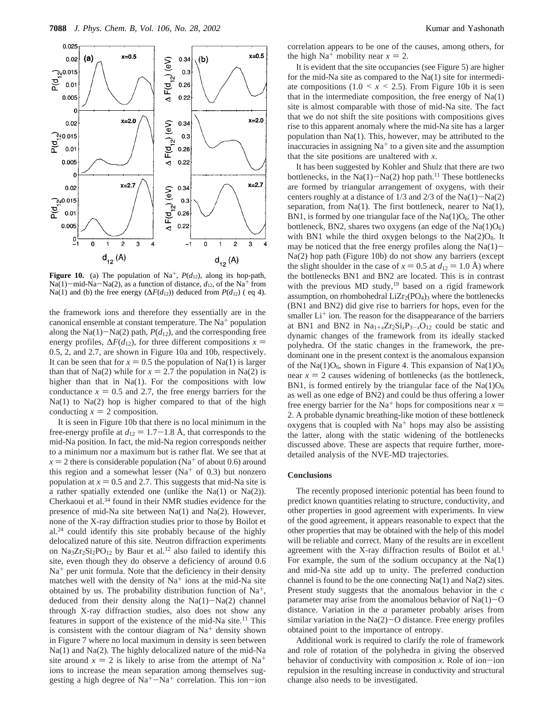

**Figure 10.** (a) The population of Na<sup>+</sup>,  $P(d_{12})$ , along its hop-path, Na(1)-mid-Na-Na(2), as a function of distance,  $d_{12}$ , of the Na<sup>+</sup> from Na(1) and (b) the free energy ( $\Delta F(d_{12})$ ) deduced from  $P(d_{12})$  (eq 4).

the framework ions and therefore they essentially are in the canonical ensemble at constant temperature. The  $Na<sup>+</sup>$  population along the Na(1)-Na(2) path,  $P(d_{12})$ , and the corresponding free energy profiles,  $\Delta F(d_{12})$ , for three different compositions *x* = 0.5, 2, and 2.7, are shown in Figure 10a and 10b, respectively. It can be seen that for  $x = 0.5$  the population of Na(1) is larger than that of Na(2) while for  $x = 2.7$  the population in Na(2) is higher than that in Na(1). For the compositions with low conductance  $x = 0.5$  and 2.7, the free energy barriers for the Na(1) to Na(2) hop is higher compared to that of the high conducting  $x = 2$  composition.

It is seen in Figure 10b that there is no local minimum in the free-energy profile at  $d_{12} = 1.7-1.8$  Å, that corresponds to the mid-Na position. In fact, the mid-Na region corresponds neither to a minimum nor a maximum but is rather flat. We see that at  $x = 2$  there is considerable population (Na<sup>+</sup> of about 0.6) around this region and a somewhat lesser ( $Na<sup>+</sup>$  of 0.3) but nonzero population at  $x = 0.5$  and 2.7. This suggests that mid-Na site is a rather spatially extended one (unlike the Na(1) or Na(2)). Cherkaoui et al.34 found in their NMR studies evidence for the presence of mid-Na site between Na(1) and Na(2). However, none of the X-ray diffraction studies prior to those by Boilot et al*.* <sup>24</sup> could identify this site probably because of the highly delocalized nature of this site. Neutron diffraction experiments on Na3Zr2Si2PO12 by Baur et al*.* <sup>12</sup> also failed to identify this site, even though they do observe a deficiency of around 0.6  $Na<sup>+</sup>$  per unit formula. Note that the deficiency in their density matches well with the density of  $Na<sup>+</sup>$  ions at the mid-Na site obtained by us. The probability distribution function of  $Na^+$ , deduced from their density along the  $Na(1)-Na(2)$  channel through X-ray diffraction studies, also does not show any features in support of the existence of the mid-Na site.<sup>11</sup> This is consistent with the contour diagram of  $Na<sup>+</sup>$  density shown in Figure 7 where no local maximum in density is seen between Na(1) and Na(2). The highly delocalized nature of the mid-Na site around  $x = 2$  is likely to arise from the attempt of Na<sup>+</sup> ions to increase the mean separation among themselves suggesting a high degree of  $Na^+ - Na^+$  correlation. This ion-ion

correlation appears to be one of the causes, among others, for the high  $Na^+$  mobility near  $x = 2$ .

It is evident that the site occupancies (see Figure 5) are higher for the mid-Na site as compared to the Na(1) site for intermediate compositions  $(1.0 \le x \le 2.5)$ . From Figure 10b it is seen that in the intermediate composition, the free energy of  $Na(1)$ site is almost comparable with those of mid-Na site. The fact that we do not shift the site positions with compositions gives rise to this apparent anomaly where the mid-Na site has a larger population than Na(1). This, however, may be attributed to the inaccuracies in assigning  $Na<sup>+</sup>$  to a given site and the assumption that the site positions are unaltered with *x*.

It has been suggested by Kohler and Shulz that there are two bottlenecks, in the  $Na(1)-Na(2)$  hop path.<sup>11</sup> These bottlenecks are formed by triangular arrangement of oxygens, with their centers roughly at a distance of  $1/3$  and  $2/3$  of the Na(1)-Na(2) separation, from  $Na(1)$ . The first bottleneck, nearer to  $Na(1)$ , BN1, is formed by one triangular face of the  $Na(1)O<sub>6</sub>$ . The other bottleneck, BN2, shares two oxygens (an edge of the  $Na(1)O<sub>6</sub>$ ) with BN1 while the third oxygen belongs to the  $Na(2)O_8$ . It may be noticed that the free energy profiles along the  $Na(1)$ -Na(2) hop path (Figure 10b) do not show any barriers (except the slight shoulder in the case of  $x = 0.5$  at  $d_{12} = 1.0$  Å) where the bottlenecks BN1 and BN2 are located. This is in contrast with the previous MD study,<sup>19</sup> based on a rigid framework assumption, on rhombohedral  $LiZr_2(PO_4)$ <sub>3</sub> where the bottlenecks (BN1 and BN2) did give rise to barriers for hops, even for the smaller  $Li<sup>+</sup>$  ion. The reason for the disappearance of the barriers at BN1 and BN2 in  $Na_{1+x}Zr_2Si_xP_{3-x}O_{12}$  could be static and dynamic changes of the framework from its ideally stacked polyhedra. Of the static changes in the framework, the predominant one in the present context is the anomalous expansion of the Na(1) $O_6$ , shown in Figure 4. This expansion of Na(1) $O_6$ near  $x = 2$  causes widening of bottlenecks (as the bottleneck, BN1, is formed entirely by the triangular face of the  $Na(1)O<sub>6</sub>$ as well as one edge of BN2) and could be thus offering a lower free energy barrier for the Na<sup>+</sup> hops for compositions near  $x =$ 2. A probable dynamic breathing-like motion of these bottleneck oxygens that is coupled with  $Na<sup>+</sup>$  hops may also be assisting the latter, along with the static widening of the bottlenecks discussed above. These are aspects that require further, moredetailed analysis of the NVE-MD trajectories.

#### **Conclusions**

The recently proposed interionic potential has been found to predict known quantities relating to structure, conductivity, and other properties in good agreement with experiments. In view of the good agreement, it appears reasonable to expect that the other properties that may be obtained with the help of this model will be reliable and correct. Many of the results are in excellent agreement with the X-ray diffraction results of Boilot et al*.* 1 For example, the sum of the sodium occupancy at the  $Na(1)$ and mid-Na site add up to unity. The preferred conduction channel is found to be the one connecting Na(1) and Na(2) sites. Present study suggests that the anomalous behavior in the *c* parameter may arise from the anomalous behavior of  $Na(1)-O$ distance. Variation in the *a* parameter probably arises from similar variation in the  $Na(2)$  - O distance. Free energy profiles obtained point to the importance of entropy.

Additional work is required to clarify the role of framework and role of rotation of the polyhedra in giving the observed behavior of conductivity with composition  $x$ . Role of ion-ion repulsion in the resulting increase in conductivity and structural change also needs to be investigated.